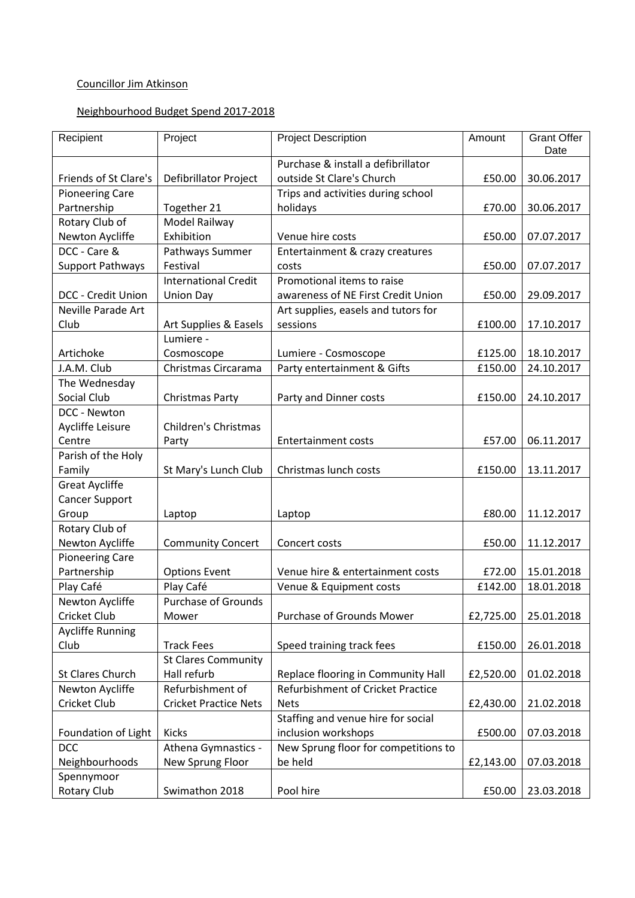# Councillor Jim Atkinson

## Neighbourhood Budget Spend 2017-2018

| Date<br>Purchase & install a defibrillator<br>Friends of St Clare's<br><b>Defibrillator Project</b><br>outside St Clare's Church<br>£50.00<br>30.06.2017<br>Trips and activities during school<br><b>Pioneering Care</b><br>Partnership<br>Together 21<br>holidays<br>£70.00<br>30.06.2017<br>Rotary Club of<br>Model Railway<br>Newton Aycliffe<br>Exhibition<br>Venue hire costs<br>£50.00<br>07.07.2017<br>DCC - Care &<br>Pathways Summer<br>Entertainment & crazy creatures<br><b>Support Pathways</b><br>Festival<br>£50.00<br>07.07.2017<br>costs<br><b>International Credit</b><br>Promotional items to raise<br>DCC - Credit Union<br><b>Union Day</b><br>awareness of NE First Credit Union<br>£50.00<br>29.09.2017<br>Neville Parade Art<br>Art supplies, easels and tutors for<br>Club<br>Art Supplies & Easels<br>sessions<br>£100.00<br>17.10.2017<br>Lumiere -<br>Artichoke<br>Cosmoscope<br>Lumiere - Cosmoscope<br>£125.00<br>18.10.2017<br>J.A.M. Club<br>Party entertainment & Gifts<br>Christmas Circarama<br>£150.00<br>24.10.2017<br>The Wednesday<br>Social Club<br>Christmas Party<br>£150.00<br>24.10.2017<br>Party and Dinner costs<br>DCC - Newton<br>Aycliffe Leisure<br><b>Children's Christmas</b><br>Centre<br><b>Entertainment costs</b><br>£57.00<br>06.11.2017<br>Party<br>Parish of the Holy<br>Family<br>St Mary's Lunch Club<br>Christmas lunch costs<br>£150.00<br>13.11.2017<br><b>Great Aycliffe</b><br><b>Cancer Support</b><br>Group<br>£80.00<br>11.12.2017<br>Laptop<br>Laptop<br>Rotary Club of<br>Newton Aycliffe<br><b>Community Concert</b><br>£50.00<br>11.12.2017<br>Concert costs<br><b>Pioneering Care</b><br>Partnership<br><b>Options Event</b><br>Venue hire & entertainment costs<br>£72.00<br>15.01.2018<br>Play Café<br>Play Café<br>Venue & Equipment costs<br>£142.00<br>18.01.2018<br><b>Purchase of Grounds</b><br>Newton Aycliffe<br>Cricket Club<br>Purchase of Grounds Mower<br>25.01.2018<br>Mower<br>£2,725.00<br><b>Aycliffe Running</b><br>Club<br>Speed training track fees<br><b>Track Fees</b><br>£150.00<br>26.01.2018<br><b>St Clares Community</b><br>St Clares Church<br>Hall refurb<br>Replace flooring in Community Hall<br>£2,520.00<br>01.02.2018<br>Refurbishment of<br>Refurbishment of Cricket Practice<br>Newton Aycliffe<br>Cricket Club<br><b>Cricket Practice Nets</b><br><b>Nets</b><br>21.02.2018<br>£2,430.00<br>Staffing and venue hire for social<br>inclusion workshops<br>Foundation of Light<br><b>Kicks</b><br>£500.00<br>07.03.2018<br>New Sprung floor for competitions to<br>DCC<br>Athena Gymnastics - | Recipient      | Project          | <b>Project Description</b> | Amount    | <b>Grant Offer</b> |
|------------------------------------------------------------------------------------------------------------------------------------------------------------------------------------------------------------------------------------------------------------------------------------------------------------------------------------------------------------------------------------------------------------------------------------------------------------------------------------------------------------------------------------------------------------------------------------------------------------------------------------------------------------------------------------------------------------------------------------------------------------------------------------------------------------------------------------------------------------------------------------------------------------------------------------------------------------------------------------------------------------------------------------------------------------------------------------------------------------------------------------------------------------------------------------------------------------------------------------------------------------------------------------------------------------------------------------------------------------------------------------------------------------------------------------------------------------------------------------------------------------------------------------------------------------------------------------------------------------------------------------------------------------------------------------------------------------------------------------------------------------------------------------------------------------------------------------------------------------------------------------------------------------------------------------------------------------------------------------------------------------------------------------------------------------------------------------------------------------------------------------------------------------------------------------------------------------------------------------------------------------------------------------------------------------------------------------------------------------------------------------------------------------------------------------------------------------------------------------------------------------------------------------------------------------------------------------------------------------|----------------|------------------|----------------------------|-----------|--------------------|
|                                                                                                                                                                                                                                                                                                                                                                                                                                                                                                                                                                                                                                                                                                                                                                                                                                                                                                                                                                                                                                                                                                                                                                                                                                                                                                                                                                                                                                                                                                                                                                                                                                                                                                                                                                                                                                                                                                                                                                                                                                                                                                                                                                                                                                                                                                                                                                                                                                                                                                                                                                                                            |                |                  |                            |           |                    |
|                                                                                                                                                                                                                                                                                                                                                                                                                                                                                                                                                                                                                                                                                                                                                                                                                                                                                                                                                                                                                                                                                                                                                                                                                                                                                                                                                                                                                                                                                                                                                                                                                                                                                                                                                                                                                                                                                                                                                                                                                                                                                                                                                                                                                                                                                                                                                                                                                                                                                                                                                                                                            |                |                  |                            |           |                    |
|                                                                                                                                                                                                                                                                                                                                                                                                                                                                                                                                                                                                                                                                                                                                                                                                                                                                                                                                                                                                                                                                                                                                                                                                                                                                                                                                                                                                                                                                                                                                                                                                                                                                                                                                                                                                                                                                                                                                                                                                                                                                                                                                                                                                                                                                                                                                                                                                                                                                                                                                                                                                            |                |                  |                            |           |                    |
|                                                                                                                                                                                                                                                                                                                                                                                                                                                                                                                                                                                                                                                                                                                                                                                                                                                                                                                                                                                                                                                                                                                                                                                                                                                                                                                                                                                                                                                                                                                                                                                                                                                                                                                                                                                                                                                                                                                                                                                                                                                                                                                                                                                                                                                                                                                                                                                                                                                                                                                                                                                                            |                |                  |                            |           |                    |
|                                                                                                                                                                                                                                                                                                                                                                                                                                                                                                                                                                                                                                                                                                                                                                                                                                                                                                                                                                                                                                                                                                                                                                                                                                                                                                                                                                                                                                                                                                                                                                                                                                                                                                                                                                                                                                                                                                                                                                                                                                                                                                                                                                                                                                                                                                                                                                                                                                                                                                                                                                                                            |                |                  |                            |           |                    |
|                                                                                                                                                                                                                                                                                                                                                                                                                                                                                                                                                                                                                                                                                                                                                                                                                                                                                                                                                                                                                                                                                                                                                                                                                                                                                                                                                                                                                                                                                                                                                                                                                                                                                                                                                                                                                                                                                                                                                                                                                                                                                                                                                                                                                                                                                                                                                                                                                                                                                                                                                                                                            |                |                  |                            |           |                    |
|                                                                                                                                                                                                                                                                                                                                                                                                                                                                                                                                                                                                                                                                                                                                                                                                                                                                                                                                                                                                                                                                                                                                                                                                                                                                                                                                                                                                                                                                                                                                                                                                                                                                                                                                                                                                                                                                                                                                                                                                                                                                                                                                                                                                                                                                                                                                                                                                                                                                                                                                                                                                            |                |                  |                            |           |                    |
|                                                                                                                                                                                                                                                                                                                                                                                                                                                                                                                                                                                                                                                                                                                                                                                                                                                                                                                                                                                                                                                                                                                                                                                                                                                                                                                                                                                                                                                                                                                                                                                                                                                                                                                                                                                                                                                                                                                                                                                                                                                                                                                                                                                                                                                                                                                                                                                                                                                                                                                                                                                                            |                |                  |                            |           |                    |
|                                                                                                                                                                                                                                                                                                                                                                                                                                                                                                                                                                                                                                                                                                                                                                                                                                                                                                                                                                                                                                                                                                                                                                                                                                                                                                                                                                                                                                                                                                                                                                                                                                                                                                                                                                                                                                                                                                                                                                                                                                                                                                                                                                                                                                                                                                                                                                                                                                                                                                                                                                                                            |                |                  |                            |           |                    |
|                                                                                                                                                                                                                                                                                                                                                                                                                                                                                                                                                                                                                                                                                                                                                                                                                                                                                                                                                                                                                                                                                                                                                                                                                                                                                                                                                                                                                                                                                                                                                                                                                                                                                                                                                                                                                                                                                                                                                                                                                                                                                                                                                                                                                                                                                                                                                                                                                                                                                                                                                                                                            |                |                  |                            |           |                    |
|                                                                                                                                                                                                                                                                                                                                                                                                                                                                                                                                                                                                                                                                                                                                                                                                                                                                                                                                                                                                                                                                                                                                                                                                                                                                                                                                                                                                                                                                                                                                                                                                                                                                                                                                                                                                                                                                                                                                                                                                                                                                                                                                                                                                                                                                                                                                                                                                                                                                                                                                                                                                            |                |                  |                            |           |                    |
|                                                                                                                                                                                                                                                                                                                                                                                                                                                                                                                                                                                                                                                                                                                                                                                                                                                                                                                                                                                                                                                                                                                                                                                                                                                                                                                                                                                                                                                                                                                                                                                                                                                                                                                                                                                                                                                                                                                                                                                                                                                                                                                                                                                                                                                                                                                                                                                                                                                                                                                                                                                                            |                |                  |                            |           |                    |
|                                                                                                                                                                                                                                                                                                                                                                                                                                                                                                                                                                                                                                                                                                                                                                                                                                                                                                                                                                                                                                                                                                                                                                                                                                                                                                                                                                                                                                                                                                                                                                                                                                                                                                                                                                                                                                                                                                                                                                                                                                                                                                                                                                                                                                                                                                                                                                                                                                                                                                                                                                                                            |                |                  |                            |           |                    |
|                                                                                                                                                                                                                                                                                                                                                                                                                                                                                                                                                                                                                                                                                                                                                                                                                                                                                                                                                                                                                                                                                                                                                                                                                                                                                                                                                                                                                                                                                                                                                                                                                                                                                                                                                                                                                                                                                                                                                                                                                                                                                                                                                                                                                                                                                                                                                                                                                                                                                                                                                                                                            |                |                  |                            |           |                    |
|                                                                                                                                                                                                                                                                                                                                                                                                                                                                                                                                                                                                                                                                                                                                                                                                                                                                                                                                                                                                                                                                                                                                                                                                                                                                                                                                                                                                                                                                                                                                                                                                                                                                                                                                                                                                                                                                                                                                                                                                                                                                                                                                                                                                                                                                                                                                                                                                                                                                                                                                                                                                            |                |                  |                            |           |                    |
|                                                                                                                                                                                                                                                                                                                                                                                                                                                                                                                                                                                                                                                                                                                                                                                                                                                                                                                                                                                                                                                                                                                                                                                                                                                                                                                                                                                                                                                                                                                                                                                                                                                                                                                                                                                                                                                                                                                                                                                                                                                                                                                                                                                                                                                                                                                                                                                                                                                                                                                                                                                                            |                |                  |                            |           |                    |
|                                                                                                                                                                                                                                                                                                                                                                                                                                                                                                                                                                                                                                                                                                                                                                                                                                                                                                                                                                                                                                                                                                                                                                                                                                                                                                                                                                                                                                                                                                                                                                                                                                                                                                                                                                                                                                                                                                                                                                                                                                                                                                                                                                                                                                                                                                                                                                                                                                                                                                                                                                                                            |                |                  |                            |           |                    |
|                                                                                                                                                                                                                                                                                                                                                                                                                                                                                                                                                                                                                                                                                                                                                                                                                                                                                                                                                                                                                                                                                                                                                                                                                                                                                                                                                                                                                                                                                                                                                                                                                                                                                                                                                                                                                                                                                                                                                                                                                                                                                                                                                                                                                                                                                                                                                                                                                                                                                                                                                                                                            |                |                  |                            |           |                    |
|                                                                                                                                                                                                                                                                                                                                                                                                                                                                                                                                                                                                                                                                                                                                                                                                                                                                                                                                                                                                                                                                                                                                                                                                                                                                                                                                                                                                                                                                                                                                                                                                                                                                                                                                                                                                                                                                                                                                                                                                                                                                                                                                                                                                                                                                                                                                                                                                                                                                                                                                                                                                            |                |                  |                            |           |                    |
|                                                                                                                                                                                                                                                                                                                                                                                                                                                                                                                                                                                                                                                                                                                                                                                                                                                                                                                                                                                                                                                                                                                                                                                                                                                                                                                                                                                                                                                                                                                                                                                                                                                                                                                                                                                                                                                                                                                                                                                                                                                                                                                                                                                                                                                                                                                                                                                                                                                                                                                                                                                                            |                |                  |                            |           |                    |
|                                                                                                                                                                                                                                                                                                                                                                                                                                                                                                                                                                                                                                                                                                                                                                                                                                                                                                                                                                                                                                                                                                                                                                                                                                                                                                                                                                                                                                                                                                                                                                                                                                                                                                                                                                                                                                                                                                                                                                                                                                                                                                                                                                                                                                                                                                                                                                                                                                                                                                                                                                                                            |                |                  |                            |           |                    |
|                                                                                                                                                                                                                                                                                                                                                                                                                                                                                                                                                                                                                                                                                                                                                                                                                                                                                                                                                                                                                                                                                                                                                                                                                                                                                                                                                                                                                                                                                                                                                                                                                                                                                                                                                                                                                                                                                                                                                                                                                                                                                                                                                                                                                                                                                                                                                                                                                                                                                                                                                                                                            |                |                  |                            |           |                    |
|                                                                                                                                                                                                                                                                                                                                                                                                                                                                                                                                                                                                                                                                                                                                                                                                                                                                                                                                                                                                                                                                                                                                                                                                                                                                                                                                                                                                                                                                                                                                                                                                                                                                                                                                                                                                                                                                                                                                                                                                                                                                                                                                                                                                                                                                                                                                                                                                                                                                                                                                                                                                            |                |                  |                            |           |                    |
|                                                                                                                                                                                                                                                                                                                                                                                                                                                                                                                                                                                                                                                                                                                                                                                                                                                                                                                                                                                                                                                                                                                                                                                                                                                                                                                                                                                                                                                                                                                                                                                                                                                                                                                                                                                                                                                                                                                                                                                                                                                                                                                                                                                                                                                                                                                                                                                                                                                                                                                                                                                                            |                |                  |                            |           |                    |
|                                                                                                                                                                                                                                                                                                                                                                                                                                                                                                                                                                                                                                                                                                                                                                                                                                                                                                                                                                                                                                                                                                                                                                                                                                                                                                                                                                                                                                                                                                                                                                                                                                                                                                                                                                                                                                                                                                                                                                                                                                                                                                                                                                                                                                                                                                                                                                                                                                                                                                                                                                                                            |                |                  |                            |           |                    |
|                                                                                                                                                                                                                                                                                                                                                                                                                                                                                                                                                                                                                                                                                                                                                                                                                                                                                                                                                                                                                                                                                                                                                                                                                                                                                                                                                                                                                                                                                                                                                                                                                                                                                                                                                                                                                                                                                                                                                                                                                                                                                                                                                                                                                                                                                                                                                                                                                                                                                                                                                                                                            |                |                  |                            |           |                    |
|                                                                                                                                                                                                                                                                                                                                                                                                                                                                                                                                                                                                                                                                                                                                                                                                                                                                                                                                                                                                                                                                                                                                                                                                                                                                                                                                                                                                                                                                                                                                                                                                                                                                                                                                                                                                                                                                                                                                                                                                                                                                                                                                                                                                                                                                                                                                                                                                                                                                                                                                                                                                            |                |                  |                            |           |                    |
|                                                                                                                                                                                                                                                                                                                                                                                                                                                                                                                                                                                                                                                                                                                                                                                                                                                                                                                                                                                                                                                                                                                                                                                                                                                                                                                                                                                                                                                                                                                                                                                                                                                                                                                                                                                                                                                                                                                                                                                                                                                                                                                                                                                                                                                                                                                                                                                                                                                                                                                                                                                                            |                |                  |                            |           |                    |
|                                                                                                                                                                                                                                                                                                                                                                                                                                                                                                                                                                                                                                                                                                                                                                                                                                                                                                                                                                                                                                                                                                                                                                                                                                                                                                                                                                                                                                                                                                                                                                                                                                                                                                                                                                                                                                                                                                                                                                                                                                                                                                                                                                                                                                                                                                                                                                                                                                                                                                                                                                                                            |                |                  |                            |           |                    |
|                                                                                                                                                                                                                                                                                                                                                                                                                                                                                                                                                                                                                                                                                                                                                                                                                                                                                                                                                                                                                                                                                                                                                                                                                                                                                                                                                                                                                                                                                                                                                                                                                                                                                                                                                                                                                                                                                                                                                                                                                                                                                                                                                                                                                                                                                                                                                                                                                                                                                                                                                                                                            |                |                  |                            |           |                    |
|                                                                                                                                                                                                                                                                                                                                                                                                                                                                                                                                                                                                                                                                                                                                                                                                                                                                                                                                                                                                                                                                                                                                                                                                                                                                                                                                                                                                                                                                                                                                                                                                                                                                                                                                                                                                                                                                                                                                                                                                                                                                                                                                                                                                                                                                                                                                                                                                                                                                                                                                                                                                            |                |                  |                            |           |                    |
|                                                                                                                                                                                                                                                                                                                                                                                                                                                                                                                                                                                                                                                                                                                                                                                                                                                                                                                                                                                                                                                                                                                                                                                                                                                                                                                                                                                                                                                                                                                                                                                                                                                                                                                                                                                                                                                                                                                                                                                                                                                                                                                                                                                                                                                                                                                                                                                                                                                                                                                                                                                                            |                |                  |                            |           |                    |
|                                                                                                                                                                                                                                                                                                                                                                                                                                                                                                                                                                                                                                                                                                                                                                                                                                                                                                                                                                                                                                                                                                                                                                                                                                                                                                                                                                                                                                                                                                                                                                                                                                                                                                                                                                                                                                                                                                                                                                                                                                                                                                                                                                                                                                                                                                                                                                                                                                                                                                                                                                                                            |                |                  |                            |           |                    |
|                                                                                                                                                                                                                                                                                                                                                                                                                                                                                                                                                                                                                                                                                                                                                                                                                                                                                                                                                                                                                                                                                                                                                                                                                                                                                                                                                                                                                                                                                                                                                                                                                                                                                                                                                                                                                                                                                                                                                                                                                                                                                                                                                                                                                                                                                                                                                                                                                                                                                                                                                                                                            |                |                  |                            |           |                    |
|                                                                                                                                                                                                                                                                                                                                                                                                                                                                                                                                                                                                                                                                                                                                                                                                                                                                                                                                                                                                                                                                                                                                                                                                                                                                                                                                                                                                                                                                                                                                                                                                                                                                                                                                                                                                                                                                                                                                                                                                                                                                                                                                                                                                                                                                                                                                                                                                                                                                                                                                                                                                            |                |                  |                            |           |                    |
|                                                                                                                                                                                                                                                                                                                                                                                                                                                                                                                                                                                                                                                                                                                                                                                                                                                                                                                                                                                                                                                                                                                                                                                                                                                                                                                                                                                                                                                                                                                                                                                                                                                                                                                                                                                                                                                                                                                                                                                                                                                                                                                                                                                                                                                                                                                                                                                                                                                                                                                                                                                                            |                |                  |                            |           |                    |
|                                                                                                                                                                                                                                                                                                                                                                                                                                                                                                                                                                                                                                                                                                                                                                                                                                                                                                                                                                                                                                                                                                                                                                                                                                                                                                                                                                                                                                                                                                                                                                                                                                                                                                                                                                                                                                                                                                                                                                                                                                                                                                                                                                                                                                                                                                                                                                                                                                                                                                                                                                                                            |                |                  |                            |           |                    |
|                                                                                                                                                                                                                                                                                                                                                                                                                                                                                                                                                                                                                                                                                                                                                                                                                                                                                                                                                                                                                                                                                                                                                                                                                                                                                                                                                                                                                                                                                                                                                                                                                                                                                                                                                                                                                                                                                                                                                                                                                                                                                                                                                                                                                                                                                                                                                                                                                                                                                                                                                                                                            |                |                  |                            |           |                    |
|                                                                                                                                                                                                                                                                                                                                                                                                                                                                                                                                                                                                                                                                                                                                                                                                                                                                                                                                                                                                                                                                                                                                                                                                                                                                                                                                                                                                                                                                                                                                                                                                                                                                                                                                                                                                                                                                                                                                                                                                                                                                                                                                                                                                                                                                                                                                                                                                                                                                                                                                                                                                            |                |                  |                            |           |                    |
|                                                                                                                                                                                                                                                                                                                                                                                                                                                                                                                                                                                                                                                                                                                                                                                                                                                                                                                                                                                                                                                                                                                                                                                                                                                                                                                                                                                                                                                                                                                                                                                                                                                                                                                                                                                                                                                                                                                                                                                                                                                                                                                                                                                                                                                                                                                                                                                                                                                                                                                                                                                                            |                |                  |                            |           |                    |
|                                                                                                                                                                                                                                                                                                                                                                                                                                                                                                                                                                                                                                                                                                                                                                                                                                                                                                                                                                                                                                                                                                                                                                                                                                                                                                                                                                                                                                                                                                                                                                                                                                                                                                                                                                                                                                                                                                                                                                                                                                                                                                                                                                                                                                                                                                                                                                                                                                                                                                                                                                                                            |                |                  |                            |           |                    |
|                                                                                                                                                                                                                                                                                                                                                                                                                                                                                                                                                                                                                                                                                                                                                                                                                                                                                                                                                                                                                                                                                                                                                                                                                                                                                                                                                                                                                                                                                                                                                                                                                                                                                                                                                                                                                                                                                                                                                                                                                                                                                                                                                                                                                                                                                                                                                                                                                                                                                                                                                                                                            |                |                  |                            |           |                    |
|                                                                                                                                                                                                                                                                                                                                                                                                                                                                                                                                                                                                                                                                                                                                                                                                                                                                                                                                                                                                                                                                                                                                                                                                                                                                                                                                                                                                                                                                                                                                                                                                                                                                                                                                                                                                                                                                                                                                                                                                                                                                                                                                                                                                                                                                                                                                                                                                                                                                                                                                                                                                            |                |                  |                            |           |                    |
|                                                                                                                                                                                                                                                                                                                                                                                                                                                                                                                                                                                                                                                                                                                                                                                                                                                                                                                                                                                                                                                                                                                                                                                                                                                                                                                                                                                                                                                                                                                                                                                                                                                                                                                                                                                                                                                                                                                                                                                                                                                                                                                                                                                                                                                                                                                                                                                                                                                                                                                                                                                                            | Neighbourhoods | New Sprung Floor | be held                    | £2,143.00 | 07.03.2018         |
| Spennymoor                                                                                                                                                                                                                                                                                                                                                                                                                                                                                                                                                                                                                                                                                                                                                                                                                                                                                                                                                                                                                                                                                                                                                                                                                                                                                                                                                                                                                                                                                                                                                                                                                                                                                                                                                                                                                                                                                                                                                                                                                                                                                                                                                                                                                                                                                                                                                                                                                                                                                                                                                                                                 |                |                  |                            |           |                    |
| <b>Rotary Club</b><br>Swimathon 2018<br>Pool hire<br>£50.00<br>23.03.2018                                                                                                                                                                                                                                                                                                                                                                                                                                                                                                                                                                                                                                                                                                                                                                                                                                                                                                                                                                                                                                                                                                                                                                                                                                                                                                                                                                                                                                                                                                                                                                                                                                                                                                                                                                                                                                                                                                                                                                                                                                                                                                                                                                                                                                                                                                                                                                                                                                                                                                                                  |                |                  |                            |           |                    |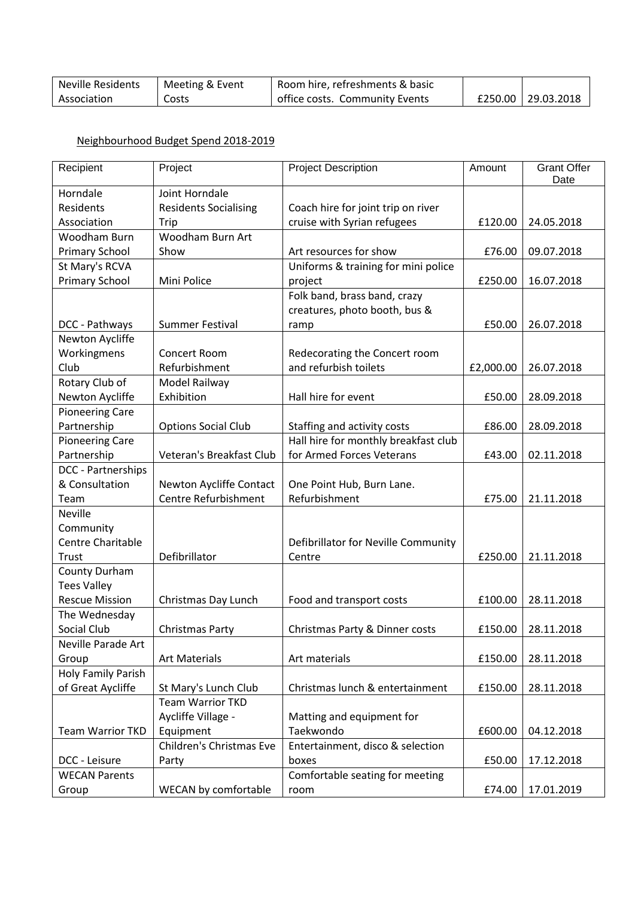| <b>Neville Residents</b> | Meeting & Event | Room hire, refreshments & basic |                    |
|--------------------------|-----------------|---------------------------------|--------------------|
| Association              | Costs           | office costs. Community Events  | £250.00 29.03.2018 |

## Neighbourhood Budget Spend 2018-2019

| Recipient                | Project                      | <b>Project Description</b>           | Amount    | <b>Grant Offer</b><br>Date |
|--------------------------|------------------------------|--------------------------------------|-----------|----------------------------|
| Horndale                 | Joint Horndale               |                                      |           |                            |
| Residents                | <b>Residents Socialising</b> | Coach hire for joint trip on river   |           |                            |
| Association              | Trip                         | cruise with Syrian refugees          | £120.00   | 24.05.2018                 |
| Woodham Burn             | Woodham Burn Art             |                                      |           |                            |
| <b>Primary School</b>    | Show                         | Art resources for show               | £76.00    | 09.07.2018                 |
| St Mary's RCVA           |                              | Uniforms & training for mini police  |           |                            |
| <b>Primary School</b>    | Mini Police                  | project                              | £250.00   | 16.07.2018                 |
|                          |                              | Folk band, brass band, crazy         |           |                            |
|                          |                              | creatures, photo booth, bus &        |           |                            |
| DCC - Pathways           | <b>Summer Festival</b>       | ramp                                 | £50.00    | 26.07.2018                 |
| Newton Aycliffe          |                              |                                      |           |                            |
| Workingmens              | Concert Room                 | Redecorating the Concert room        |           |                            |
| Club                     | Refurbishment                | and refurbish toilets                | £2,000.00 | 26.07.2018                 |
| Rotary Club of           | Model Railway                |                                      |           |                            |
| Newton Aycliffe          | Exhibition                   | Hall hire for event                  | £50.00    | 28.09.2018                 |
| <b>Pioneering Care</b>   |                              |                                      |           |                            |
| Partnership              | <b>Options Social Club</b>   | Staffing and activity costs          | £86.00    | 28.09.2018                 |
| <b>Pioneering Care</b>   |                              | Hall hire for monthly breakfast club |           |                            |
| Partnership              | Veteran's Breakfast Club     | for Armed Forces Veterans            | £43.00    | 02.11.2018                 |
| DCC - Partnerships       |                              |                                      |           |                            |
| & Consultation           | Newton Aycliffe Contact      | One Point Hub, Burn Lane.            |           |                            |
| Team                     | Centre Refurbishment         | Refurbishment                        | £75.00    | 21.11.2018                 |
| <b>Neville</b>           |                              |                                      |           |                            |
| Community                |                              |                                      |           |                            |
| <b>Centre Charitable</b> |                              | Defibrillator for Neville Community  |           |                            |
| Trust                    | Defibrillator                | Centre                               | £250.00   | 21.11.2018                 |
| County Durham            |                              |                                      |           |                            |
| <b>Tees Valley</b>       |                              |                                      |           |                            |
| <b>Rescue Mission</b>    | Christmas Day Lunch          | Food and transport costs             | £100.00   | 28.11.2018                 |
| The Wednesday            |                              |                                      |           |                            |
| Social Club              | Christmas Party              | Christmas Party & Dinner costs       | £150.00   | 28.11.2018                 |
| Neville Parade Art       |                              |                                      |           |                            |
| Group                    | <b>Art Materials</b>         | Art materials                        | £150.00   | 28.11.2018                 |
| Holy Family Parish       |                              |                                      |           |                            |
| of Great Aycliffe        | St Mary's Lunch Club         | Christmas lunch & entertainment      | £150.00   | 28.11.2018                 |
|                          | <b>Team Warrior TKD</b>      |                                      |           |                            |
|                          | Aycliffe Village -           | Matting and equipment for            |           |                            |
| <b>Team Warrior TKD</b>  | Equipment                    | Taekwondo                            | £600.00   | 04.12.2018                 |
|                          | Children's Christmas Eve     | Entertainment, disco & selection     |           |                            |
| DCC - Leisure            | Party                        | boxes                                | £50.00    | 17.12.2018                 |
| <b>WECAN Parents</b>     |                              | Comfortable seating for meeting      |           |                            |
| Group                    | WECAN by comfortable         | room                                 | £74.00    | 17.01.2019                 |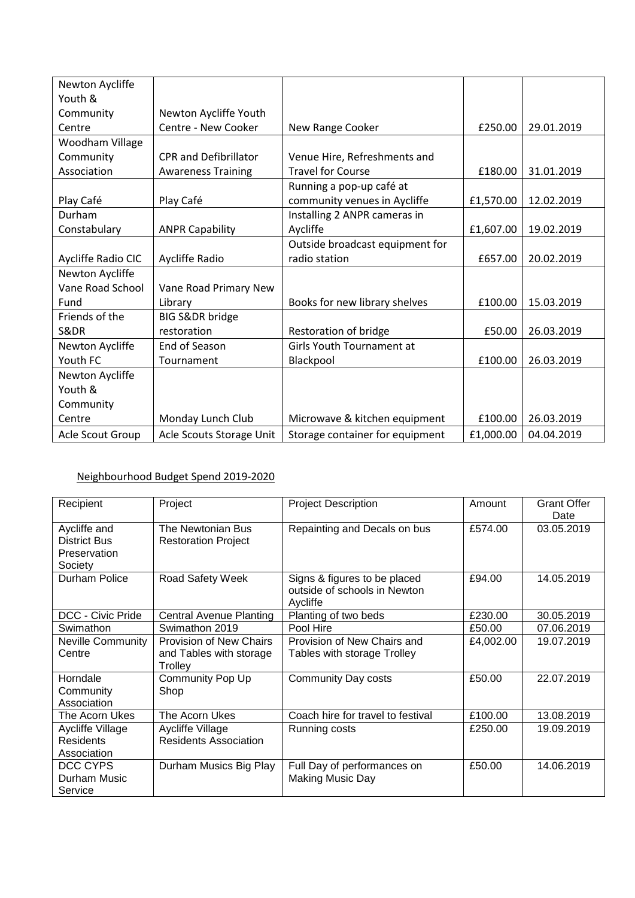| Newton Aycliffe    |                              |                                  |           |            |
|--------------------|------------------------------|----------------------------------|-----------|------------|
| Youth &            |                              |                                  |           |            |
| Community          | Newton Aycliffe Youth        |                                  |           |            |
| Centre             | Centre - New Cooker          | New Range Cooker                 | £250.00   | 29.01.2019 |
| Woodham Village    |                              |                                  |           |            |
| Community          | <b>CPR and Defibrillator</b> | Venue Hire, Refreshments and     |           |            |
| Association        | <b>Awareness Training</b>    | <b>Travel for Course</b>         | £180.00   | 31.01.2019 |
|                    |                              | Running a pop-up café at         |           |            |
| Play Café          | Play Café                    | community venues in Aycliffe     | £1,570.00 | 12.02.2019 |
| Durham             |                              | Installing 2 ANPR cameras in     |           |            |
| Constabulary       | <b>ANPR Capability</b>       | Aycliffe                         | £1,607.00 | 19.02.2019 |
|                    |                              | Outside broadcast equipment for  |           |            |
| Aycliffe Radio CIC | Aycliffe Radio               | radio station                    | £657.00   | 20.02.2019 |
| Newton Aycliffe    |                              |                                  |           |            |
| Vane Road School   | Vane Road Primary New        |                                  |           |            |
| Fund               | Library                      | Books for new library shelves    | £100.00   | 15.03.2019 |
| Friends of the     | <b>BIG S&amp;DR bridge</b>   |                                  |           |            |
| S&DR               | restoration                  | Restoration of bridge            | £50.00    | 26.03.2019 |
| Newton Aycliffe    | End of Season                | <b>Girls Youth Tournament at</b> |           |            |
| Youth FC           | Tournament                   | Blackpool                        | £100.00   | 26.03.2019 |
| Newton Aycliffe    |                              |                                  |           |            |
| Youth &            |                              |                                  |           |            |
| Community          |                              |                                  |           |            |
| Centre             | Monday Lunch Club            | Microwave & kitchen equipment    | £100.00   | 26.03.2019 |
| Acle Scout Group   | Acle Scouts Storage Unit     | Storage container for equipment  | £1,000.00 | 04.04.2019 |

## Neighbourhood Budget Spend 2019-2020

| Recipient                | Project                        | <b>Project Description</b>        | Amount    | <b>Grant Offer</b><br>Date |
|--------------------------|--------------------------------|-----------------------------------|-----------|----------------------------|
| Aycliffe and             | The Newtonian Bus              | Repainting and Decals on bus      | £574.00   | 03.05.2019                 |
| <b>District Bus</b>      | <b>Restoration Project</b>     |                                   |           |                            |
| Preservation             |                                |                                   |           |                            |
| Society                  |                                |                                   |           |                            |
| Durham Police            | Road Safety Week               | Signs & figures to be placed      | £94.00    | 14.05.2019                 |
|                          |                                | outside of schools in Newton      |           |                            |
|                          |                                | Aycliffe                          |           |                            |
| DCC - Civic Pride        | <b>Central Avenue Planting</b> | Planting of two beds              | £230.00   | 30.05.2019                 |
| Swimathon                | Swimathon 2019                 | Pool Hire                         | £50.00    | 07.06.2019                 |
| <b>Neville Community</b> | <b>Provision of New Chairs</b> | Provision of New Chairs and       | £4,002.00 | 19.07.2019                 |
| Centre                   | and Tables with storage        | Tables with storage Trolley       |           |                            |
|                          | Trolley                        |                                   |           |                            |
| Horndale                 | Community Pop Up               | <b>Community Day costs</b>        | £50.00    | 22.07.2019                 |
| Community                | Shop                           |                                   |           |                            |
| Association              |                                |                                   |           |                            |
| The Acorn Ukes           | The Acorn Ukes                 | Coach hire for travel to festival | £100.00   | 13.08.2019                 |
| Aycliffe Village         | Aycliffe Village               | Running costs                     | £250.00   | 19.09.2019                 |
| <b>Residents</b>         | <b>Residents Association</b>   |                                   |           |                            |
| Association              |                                |                                   |           |                            |
| DCC CYPS                 | Durham Musics Big Play         | Full Day of performances on       | £50.00    | 14.06.2019                 |
| Durham Music             |                                | Making Music Day                  |           |                            |
| Service                  |                                |                                   |           |                            |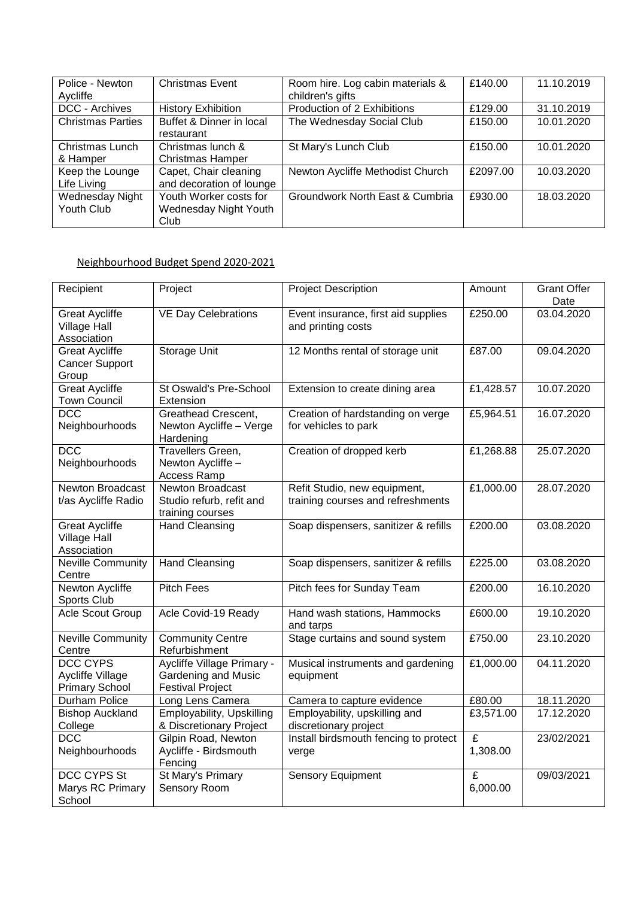| Police - Newton          | <b>Christmas Event</b>    | Room hire. Log cabin materials & | £140.00  | 11.10.2019 |
|--------------------------|---------------------------|----------------------------------|----------|------------|
| Aycliffe                 |                           | children's gifts                 |          |            |
| DCC - Archives           | <b>History Exhibition</b> | Production of 2 Exhibitions      | £129.00  | 31.10.2019 |
| <b>Christmas Parties</b> | Buffet & Dinner in local  | The Wednesday Social Club        | £150.00  | 10.01.2020 |
|                          | restaurant                |                                  |          |            |
| Christmas Lunch          | Christmas lunch &         | St Mary's Lunch Club             | £150.00  | 10.01.2020 |
| & Hamper                 | <b>Christmas Hamper</b>   |                                  |          |            |
| Keep the Lounge          | Capet, Chair cleaning     | Newton Aycliffe Methodist Church | £2097.00 | 10.03.2020 |
| Life Living              | and decoration of lounge  |                                  |          |            |
| Wednesday Night          | Youth Worker costs for    | Groundwork North East & Cumbria  | £930.00  | 18.03.2020 |
| Youth Club               | Wednesday Night Youth     |                                  |          |            |
|                          | Club                      |                                  |          |            |

### Neighbourhood Budget Spend 2020-2021

| Recipient                                                           | Project                                                                      | <b>Project Description</b>                                        | Amount        | <b>Grant Offer</b><br>Date |
|---------------------------------------------------------------------|------------------------------------------------------------------------------|-------------------------------------------------------------------|---------------|----------------------------|
| <b>Great Aycliffe</b><br><b>Village Hall</b><br>Association         | <b>VE Day Celebrations</b>                                                   | Event insurance, first aid supplies<br>and printing costs         | £250.00       | 03.04.2020                 |
| <b>Great Aycliffe</b><br><b>Cancer Support</b><br>Group             | Storage Unit                                                                 | 12 Months rental of storage unit                                  | £87.00        | 09.04.2020                 |
| <b>Great Aycliffe</b><br><b>Town Council</b>                        | St Oswald's Pre-School<br>Extension                                          | Extension to create dining area                                   | £1,428.57     | 10.07.2020                 |
| <b>DCC</b><br>Neighbourhoods                                        | Greathead Crescent,<br>Newton Aycliffe - Verge<br>Hardening                  | Creation of hardstanding on verge<br>for vehicles to park         | £5,964.51     | 16.07.2020                 |
| DCC<br>Neighbourhoods                                               | Travellers Green,<br>Newton Aycliffe -<br>Access Ramp                        | Creation of dropped kerb                                          | £1,268.88     | 25.07.2020                 |
| <b>Newton Broadcast</b><br>t/as Aycliffe Radio                      | <b>Newton Broadcast</b><br>Studio refurb, refit and<br>training courses      | Refit Studio, new equipment,<br>training courses and refreshments | £1,000.00     | 28.07.2020                 |
| <b>Great Aycliffe</b><br><b>Village Hall</b><br>Association         | <b>Hand Cleansing</b>                                                        | Soap dispensers, sanitizer & refills                              | £200.00       | 03.08.2020                 |
| <b>Neville Community</b><br>Centre                                  | <b>Hand Cleansing</b>                                                        | Soap dispensers, sanitizer & refills                              | £225.00       | 03.08.2020                 |
| <b>Newton Aycliffe</b><br>Sports Club                               | <b>Pitch Fees</b>                                                            | Pitch fees for Sunday Team                                        | £200.00       | 16.10.2020                 |
| Acle Scout Group                                                    | Acle Covid-19 Ready                                                          | Hand wash stations, Hammocks<br>and tarps                         | £600.00       | 19.10.2020                 |
| Neville Community<br>Centre                                         | <b>Community Centre</b><br>Refurbishment                                     | Stage curtains and sound system                                   | £750.00       | 23.10.2020                 |
| <b>DCC CYPS</b><br><b>Aycliffe Village</b><br><b>Primary School</b> | Aycliffe Village Primary -<br>Gardening and Music<br><b>Festival Project</b> | Musical instruments and gardening<br>equipment                    | £1,000.00     | 04.11.2020                 |
| Durham Police                                                       | Long Lens Camera                                                             | Camera to capture evidence                                        | £80.00        | 18.11.2020                 |
| <b>Bishop Auckland</b><br>College                                   | Employability, Upskilling<br>& Discretionary Project                         | Employability, upskilling and<br>discretionary project            | £3,571.00     | 17.12.2020                 |
| <b>DCC</b><br>Neighbourhoods                                        | Gilpin Road, Newton<br>Aycliffe - Birdsmouth<br>Fencing                      | Install birdsmouth fencing to protect<br>verge                    | £<br>1,308.00 | 23/02/2021                 |
| <b>DCC CYPS St</b><br>Marys RC Primary<br>School                    | St Mary's Primary<br>Sensory Room                                            | <b>Sensory Equipment</b>                                          | £<br>6,000.00 | 09/03/2021                 |